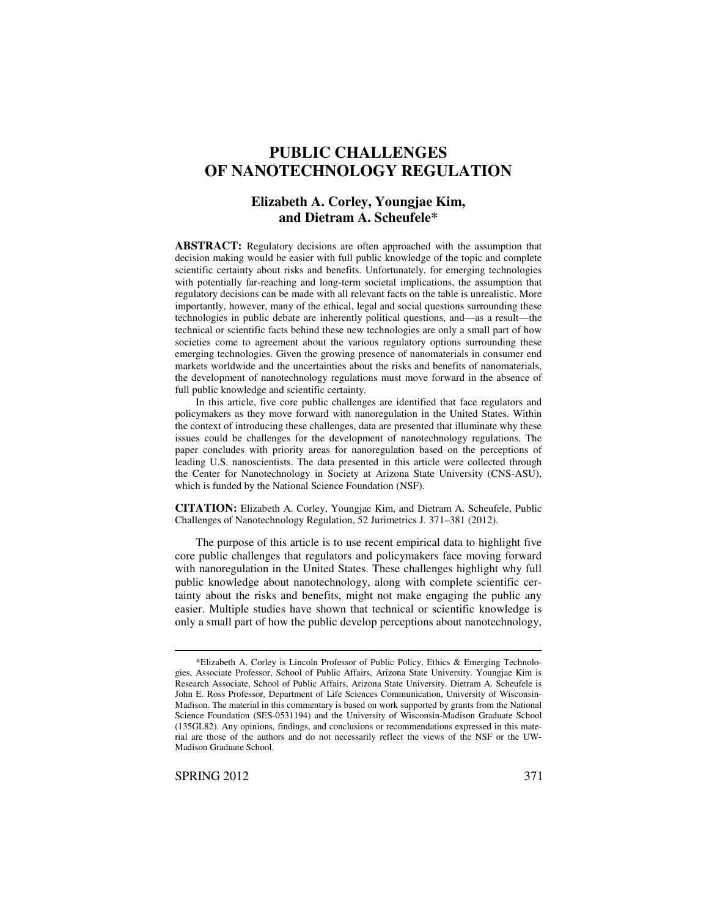# **PUBLIC CHALLENGES OF NANOTECHNOLOGY REGULATION**

### **Elizabeth A. Corley, Youngjae Kim, and Dietram A. Scheufele\***

**ABSTRACT:** Regulatory decisions are often approached with the assumption that decision making would be easier with full public knowledge of the topic and complete scientific certainty about risks and benefits. Unfortunately, for emerging technologies with potentially far-reaching and long-term societal implications, the assumption that regulatory decisions can be made with all relevant facts on the table is unrealistic. More importantly, however, many of the ethical, legal and social questions surrounding these technologies in public debate are inherently political questions, and—as a result—the technical or scientific facts behind these new technologies are only a small part of how societies come to agreement about the various regulatory options surrounding these emerging technologies. Given the growing presence of nanomaterials in consumer end markets worldwide and the uncertainties about the risks and benefits of nanomaterials, the development of nanotechnology regulations must move forward in the absence of full public knowledge and scientific certainty.

In this article, five core public challenges are identified that face regulators and policymakers as they move forward with nanoregulation in the United States. Within the context of introducing these challenges, data are presented that illuminate why these issues could be challenges for the development of nanotechnology regulations. The paper concludes with priority areas for nanoregulation based on the perceptions of leading U.S. nanoscientists. The data presented in this article were collected through the Center for Nanotechnology in Society at Arizona State University (CNS-ASU), which is funded by the National Science Foundation (NSF).

**CITATION:** Elizabeth A. Corley, Youngjae Kim, and Dietram A. Scheufele, Public Challenges of Nanotechnology Regulation, 52 Jurimetrics J. 371–381 (2012).

The purpose of this article is to use recent empirical data to highlight five core public challenges that regulators and policymakers face moving forward with nanoregulation in the United States. These challenges highlight why full public knowledge about nanotechnology, along with complete scientific certainty about the risks and benefits, might not make engaging the public any easier. Multiple studies have shown that technical or scientific knowledge is only a small part of how the public develop perceptions about nanotechnology,

<sup>\*</sup>Elizabeth A. Corley is Lincoln Professor of Public Policy, Ethics & Emerging Technologies, Associate Professor, School of Public Affairs, Arizona State University. Youngjae Kim is Research Associate, School of Public Affairs, Arizona State University. Dietram A. Scheufele is John E. Ross Professor, Department of Life Sciences Communication, University of Wisconsin-Madison. The material in this commentary is based on work supported by grants from the National Science Foundation (SES-0531194) and the University of Wisconsin-Madison Graduate School (135GL82). Any opinions, findings, and conclusions or recommendations expressed in this material are those of the authors and do not necessarily reflect the views of the NSF or the UW-Madison Graduate School.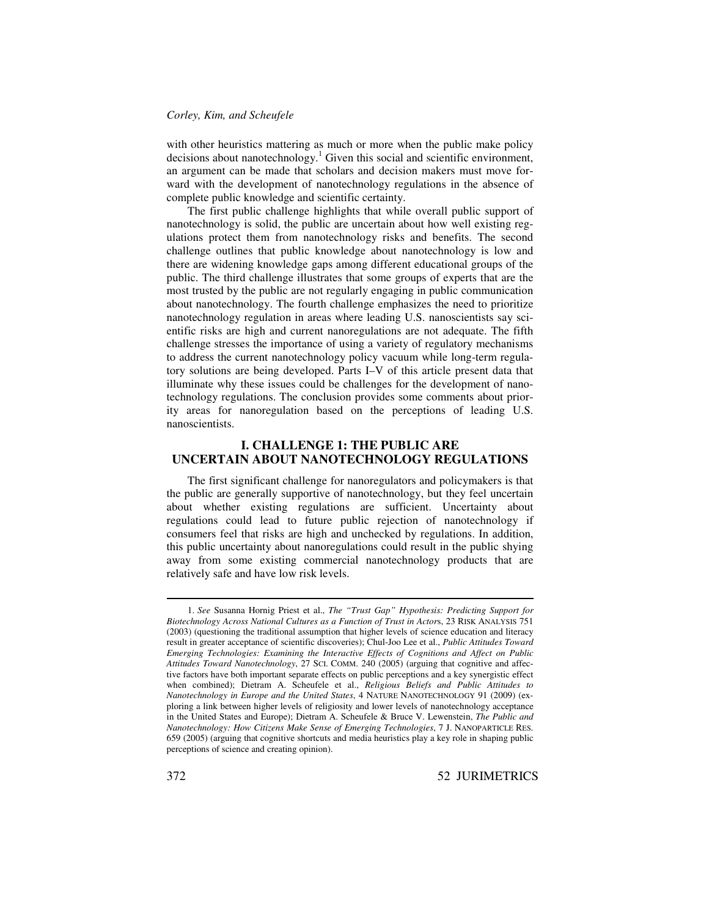#### *Corley, Kim, and Scheufele*

with other heuristics mattering as much or more when the public make policy decisions about nanotechnology. <sup>1</sup> Given this social and scientific environment, an argument can be made that scholars and decision makers must move forward with the development of nanotechnology regulations in the absence of complete public knowledge and scientific certainty.

The first public challenge highlights that while overall public support of nanotechnology is solid, the public are uncertain about how well existing regulations protect them from nanotechnology risks and benefits. The second challenge outlines that public knowledge about nanotechnology is low and there are widening knowledge gaps among different educational groups of the public. The third challenge illustrates that some groups of experts that are the most trusted by the public are not regularly engaging in public communication about nanotechnology. The fourth challenge emphasizes the need to prioritize nanotechnology regulation in areas where leading U.S. nanoscientists say scientific risks are high and current nanoregulations are not adequate. The fifth challenge stresses the importance of using a variety of regulatory mechanisms to address the current nanotechnology policy vacuum while long-term regulatory solutions are being developed. Parts I–V of this article present data that illuminate why these issues could be challenges for the development of nanotechnology regulations. The conclusion provides some comments about priority areas for nanoregulation based on the perceptions of leading U.S. nanoscientists.

### **I. CHALLENGE 1: THE PUBLIC ARE UNCERTAIN ABOUT NANOTECHNOLOGY REGULATIONS**

The first significant challenge for nanoregulators and policymakers is that the public are generally supportive of nanotechnology, but they feel uncertain about whether existing regulations are sufficient. Uncertainty about regulations could lead to future public rejection of nanotechnology if consumers feel that risks are high and unchecked by regulations. In addition, this public uncertainty about nanoregulations could result in the public shying away from some existing commercial nanotechnology products that are relatively safe and have low risk levels.

<sup>1.</sup> *See* Susanna Hornig Priest et al., *The "Trust Gap" Hypothesis: Predicting Support for Biotechnology Across National Cultures as a Function of Trust in Actor*s, 23 RISK ANALYSIS 751 (2003) (questioning the traditional assumption that higher levels of science education and literacy result in greater acceptance of scientific discoveries); Chul-Joo Lee et al., *Public Attitudes Toward Emerging Technologies: Examining the Interactive Effects of Cognitions and Affect on Public Attitudes Toward Nanotechnology*, 27 SCI. COMM. 240 (2005) (arguing that cognitive and affective factors have both important separate effects on public perceptions and a key synergistic effect when combined); Dietram A. Scheufele et al., *Religious Beliefs and Public Attitudes to Nanotechnology in Europe and the United States*, 4 NATURE NANOTECHNOLOGY 91 (2009) (exploring a link between higher levels of religiosity and lower levels of nanotechnology acceptance in the United States and Europe); Dietram A. Scheufele & Bruce V. Lewenstein, *The Public and Nanotechnology: How Citizens Make Sense of Emerging Technologies*, 7 J. NANOPARTICLE RES. 659 (2005) (arguing that cognitive shortcuts and media heuristics play a key role in shaping public perceptions of science and creating opinion).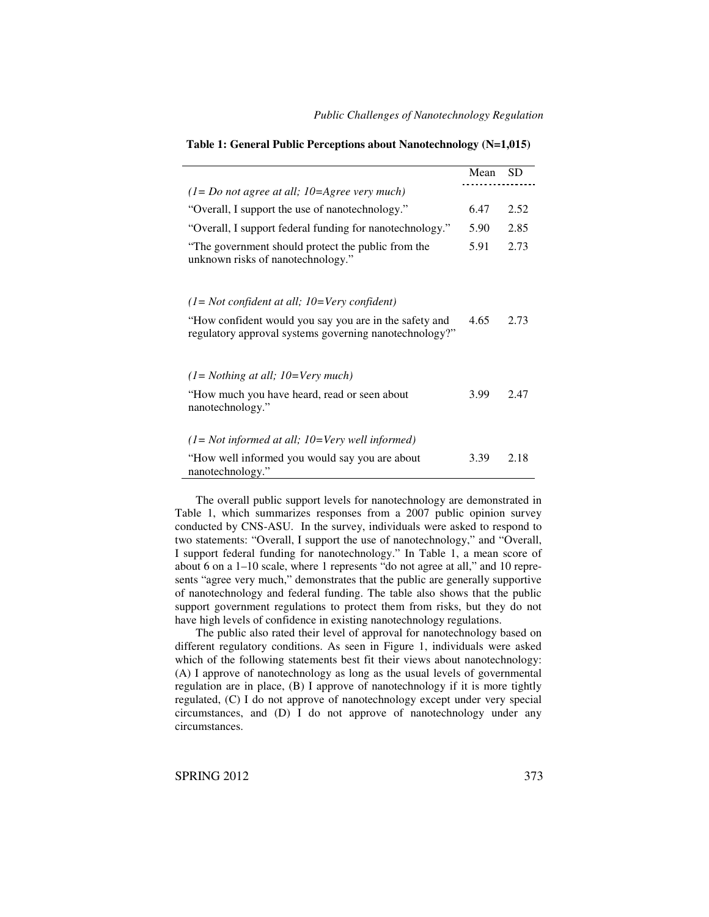|                                                                                         | Mean | SD.  |
|-----------------------------------------------------------------------------------------|------|------|
| $(1 = Do not agree at all; 10 = Ageee very much)$                                       |      |      |
| "Overall, I support the use of nanotechnology."                                         | 6.47 | 2.52 |
| "Overall, I support federal funding for nanotechnology."                                | 5.90 | 2.85 |
| "The government should protect the public from the<br>unknown risks of nanotechnology." | 5.91 | 2.73 |

**Table 1: General Public Perceptions about Nanotechnology (N=1,015)**

*(1= Not confident at all; 10=Very confident)*

| "How confident would you say you are in the safety and<br>regulatory approval systems governing nanotechnology?" | 4.65 | 2.73 |
|------------------------------------------------------------------------------------------------------------------|------|------|
| $(1 = Nothing at all; 10=Very much)$<br>"How much you have heard, read or seen about<br>nanotechnology."         | 3.99 | 2.47 |
| $(1 = Not informed at all; 10 = Very well informed)$<br>"How well informed you would say you are about           | 3.39 | 2.18 |

The overall public support levels for nanotechnology are demonstrated in Table 1, which summarizes responses from a 2007 public opinion survey conducted by CNS-ASU. In the survey, individuals were asked to respond to two statements: "Overall, I support the use of nanotechnology," and "Overall, I support federal funding for nanotechnology." In Table 1, a mean score of about 6 on a 1–10 scale, where 1 represents "do not agree at all," and 10 represents "agree very much," demonstrates that the public are generally supportive of nanotechnology and federal funding. The table also shows that the public support government regulations to protect them from risks, but they do not have high levels of confidence in existing nanotechnology regulations.

The public also rated their level of approval for nanotechnology based on different regulatory conditions. As seen in Figure 1, individuals were asked which of the following statements best fit their views about nanotechnology: (A) I approve of nanotechnology as long as the usual levels of governmental regulation are in place, (B) I approve of nanotechnology if it is more tightly regulated, (C) I do not approve of nanotechnology except under very special circumstances, and (D) I do not approve of nanotechnology under any circumstances.

SPRING 2012 373

nanotechnology.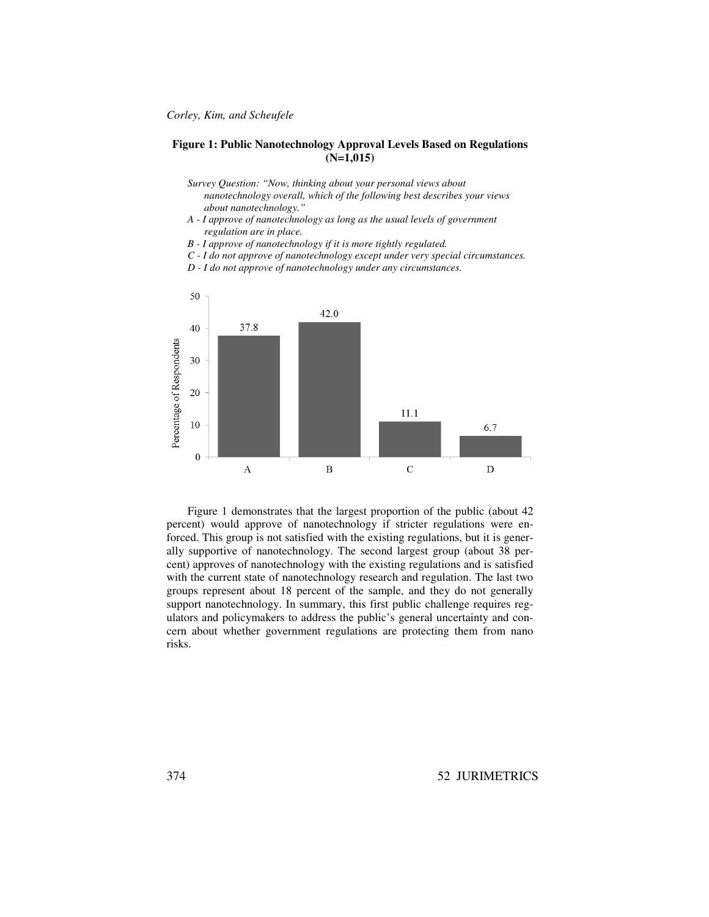#### **Figure 1: Public Nanotechnology Approval Levels Based on Regulations (N=1,015)**

- *Survey Question: "Now, thinking about your personal views about nanotechnology overall, which of the following best describes your views about nanotechnology."*
- *A - I approve of nanotechnology as long as the usual levels of government regulation are in place.*
- *B - I approve of nanotechnology if it is more tightly regulated.*
- *C - I do not approve of nanotechnology except under very special circumstances.*
- *D - I do not approve of nanotechnology under any circumstances.*



Figure 1 demonstrates that the largest proportion of the public (about 42 percent) would approve of nanotechnology if stricter regulations were enforced. This group is not satisfied with the existing regulations, but it is generally supportive of nanotechnology. The second largest group (about 38 percent) approves of nanotechnology with the existing regulations and is satisfied with the current state of nanotechnology research and regulation. The last two groups represent about 18 percent of the sample, and they do not generally support nanotechnology. In summary, this first public challenge requires regulators and policymakers to address the public's general uncertainty and concern about whether government regulations are protecting them from nano risks.

374 52 JURIMETRICS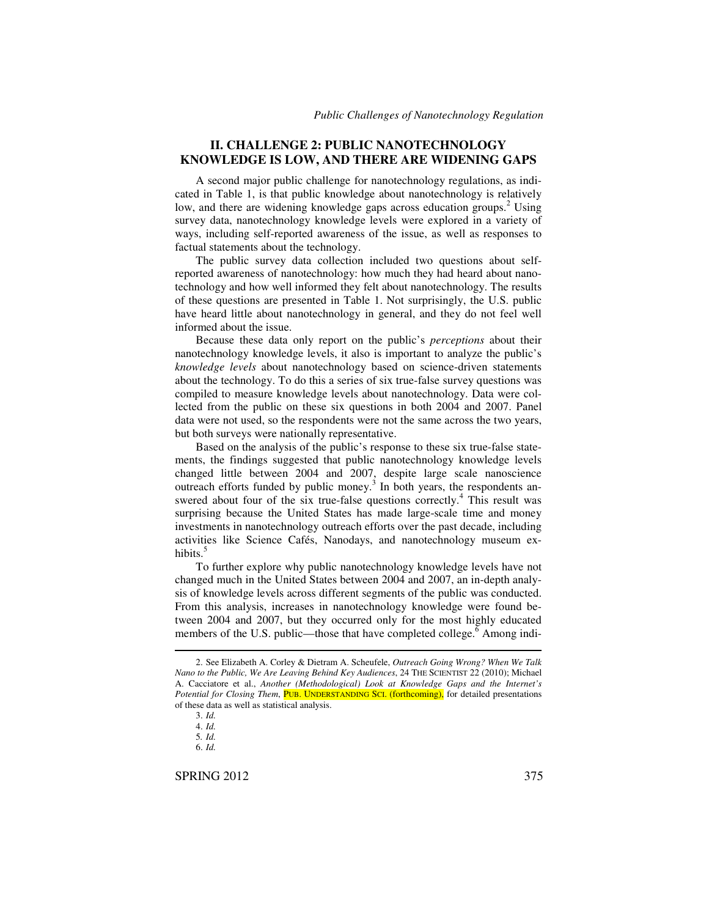#### **II. CHALLENGE 2: PUBLIC NANOTECHNOLOGY KNOWLEDGE IS LOW, AND THERE ARE WIDENING GAPS**

A second major public challenge for nanotechnology regulations, as indicated in Table 1, is that public knowledge about nanotechnology is relatively low, and there are widening knowledge gaps across education groups.<sup>2</sup> Using survey data, nanotechnology knowledge levels were explored in a variety of ways, including self-reported awareness of the issue, as well as responses to factual statements about the technology.

The public survey data collection included two questions about selfreported awareness of nanotechnology: how much they had heard about nanotechnology and how well informed they felt about nanotechnology. The results of these questions are presented in Table 1. Not surprisingly, the U.S. public have heard little about nanotechnology in general, and they do not feel well informed about the issue.

Because these data only report on the public's *perceptions* about their nanotechnology knowledge levels, it also is important to analyze the public's *knowledge levels* about nanotechnology based on science-driven statements about the technology. To do this a series of six true-false survey questions was compiled to measure knowledge levels about nanotechnology. Data were collected from the public on these six questions in both 2004 and 2007. Panel data were not used, so the respondents were not the same across the two years, but both surveys were nationally representative.

Based on the analysis of the public's response to these six true-false statements, the findings suggested that public nanotechnology knowledge levels changed little between 2004 and 2007, despite large scale nanoscience outreach efforts funded by public money. 3 In both years, the respondents answered about four of the six true-false questions correctly.<sup>4</sup> This result was surprising because the United States has made large-scale time and money investments in nanotechnology outreach efforts over the past decade, including activities like Science Cafés, Nanodays, and nanotechnology museum exhibits. 5

To further explore why public nanotechnology knowledge levels have not changed much in the United States between 2004 and 2007, an in-depth analysis of knowledge levels across different segments of the public was conducted. From this analysis, increases in nanotechnology knowledge were found between 2004 and 2007, but they occurred only for the most highly educated members of the U.S. public—those that have completed college.<sup>6</sup> Among indi-

SPRING 2012 375

<sup>2.</sup> See Elizabeth A. Corley & Dietram A. Scheufele, *Outreach Going Wrong? When We Talk Nano to the Public, We Are Leaving Behind Key Audiences*, 24 THE SCIENTIST 22 (2010); Michael A. Cacciatore et al., *Another (Methodological) Look at Knowledge Gaps and the Internet's Potential for Closing Them*, PUB. UNDERSTANDING SCI. (forthcoming), for detailed presentations of these data as well as statistical analysis.

<sup>3.</sup> *Id.*

<sup>4.</sup> *Id.*

<sup>5</sup>*. Id.*

<sup>6.</sup> *Id.*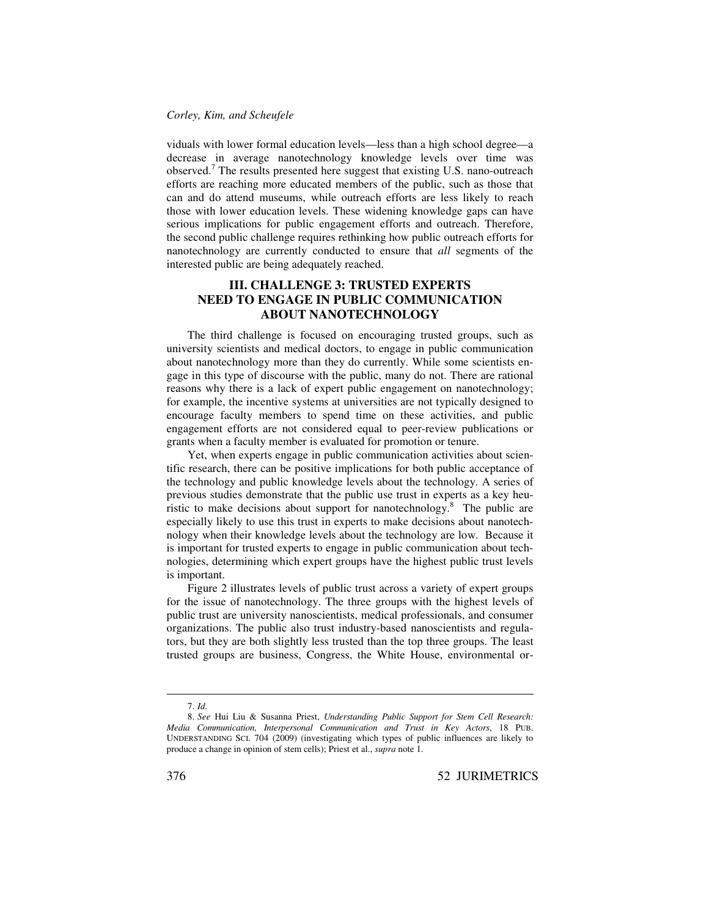#### *Corley, Kim, and Scheufele*

viduals with lower formal education levels—less than a high school degree—a decrease in average nanotechnology knowledge levels over time was observed. <sup>7</sup> The results presented here suggest that existing U.S. nano-outreach efforts are reaching more educated members of the public, such as those that can and do attend museums, while outreach efforts are less likely to reach those with lower education levels. These widening knowledge gaps can have serious implications for public engagement efforts and outreach. Therefore, the second public challenge requires rethinking how public outreach efforts for nanotechnology are currently conducted to ensure that *all* segments of the interested public are being adequately reached.

# **III. CHALLENGE 3: TRUSTED EXPERTS NEED TO ENGAGE IN PUBLIC COMMUNICATION ABOUT NANOTECHNOLOGY**

The third challenge is focused on encouraging trusted groups, such as university scientists and medical doctors, to engage in public communication about nanotechnology more than they do currently. While some scientists engage in this type of discourse with the public, many do not. There are rational reasons why there is a lack of expert public engagement on nanotechnology; for example, the incentive systems at universities are not typically designed to encourage faculty members to spend time on these activities, and public engagement efforts are not considered equal to peer-review publications or grants when a faculty member is evaluated for promotion or tenure.

Yet, when experts engage in public communication activities about scientific research, there can be positive implications for both public acceptance of the technology and public knowledge levels about the technology. A series of previous studies demonstrate that the public use trust in experts as a key heuristic to make decisions about support for nanotechnology. $8$  The public are especially likely to use this trust in experts to make decisions about nanotechnology when their knowledge levels about the technology are low. Because it is important for trusted experts to engage in public communication about technologies, determining which expert groups have the highest public trust levels is important.

Figure 2 illustrates levels of public trust across a variety of expert groups for the issue of nanotechnology. The three groups with the highest levels of public trust are university nanoscientists, medical professionals, and consumer organizations. The public also trust industry-based nanoscientists and regulators, but they are both slightly less trusted than the top three groups. The least trusted groups are business, Congress, the White House, environmental or-

<sup>7.</sup> *Id.*

<sup>8.</sup> *See* Hui Liu & Susanna Priest, *Understanding Public Support for Stem Cell Research: Media Communication, Interpersonal Communication and Trust in Key Actors*, 18 PUB. UNDERSTANDING SCI. 704 (2009) (investigating which types of public influences are likely to produce a change in opinion of stem cells); Priest et al., *supra* note 1.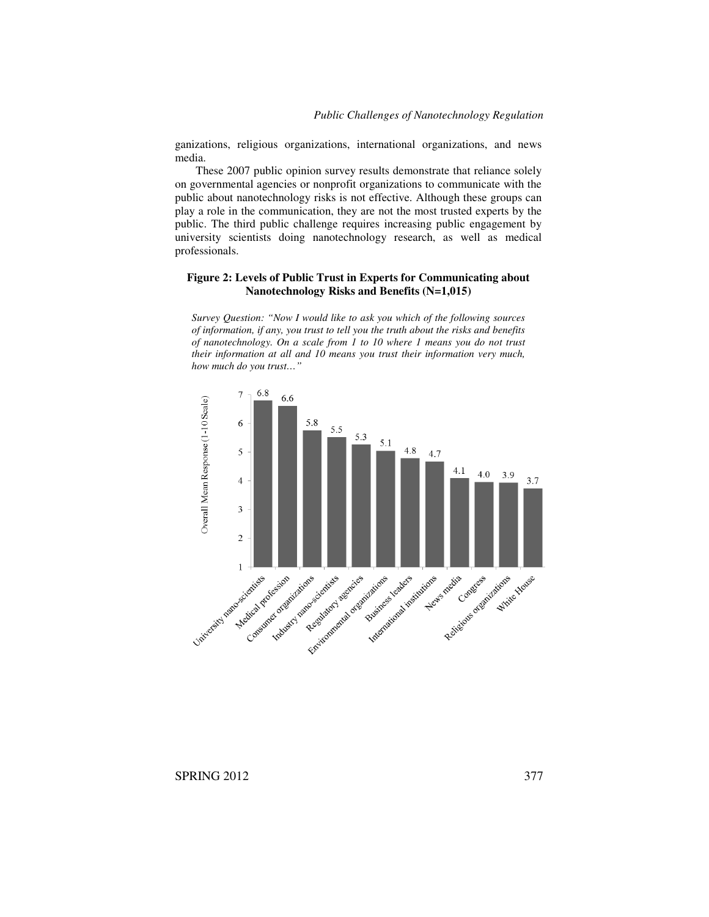ganizations, religious organizations, international organizations, and news media.

These 2007 public opinion survey results demonstrate that reliance solely on governmental agencies or nonprofit organizations to communicate with the public about nanotechnology risks is not effective. Although these groups can play a role in the communication, they are not the most trusted experts by the public. The third public challenge requires increasing public engagement by university scientists doing nanotechnology research, as well as medical professionals.

#### **Figure 2: Levels of Public Trust in Experts for Communicating about Nanotechnology Risks and Benefits (N=1,015)**

*Survey Question: "Now I would like to ask you which of the following sources of information, if any, you trust to tell you the truth about the risks and benefits of nanotechnology. On a scale from 1 to 10 where 1 means you do not trust their information at all and 10 means you trust their information very much, how much do you trust…"*



SPRING 2012 377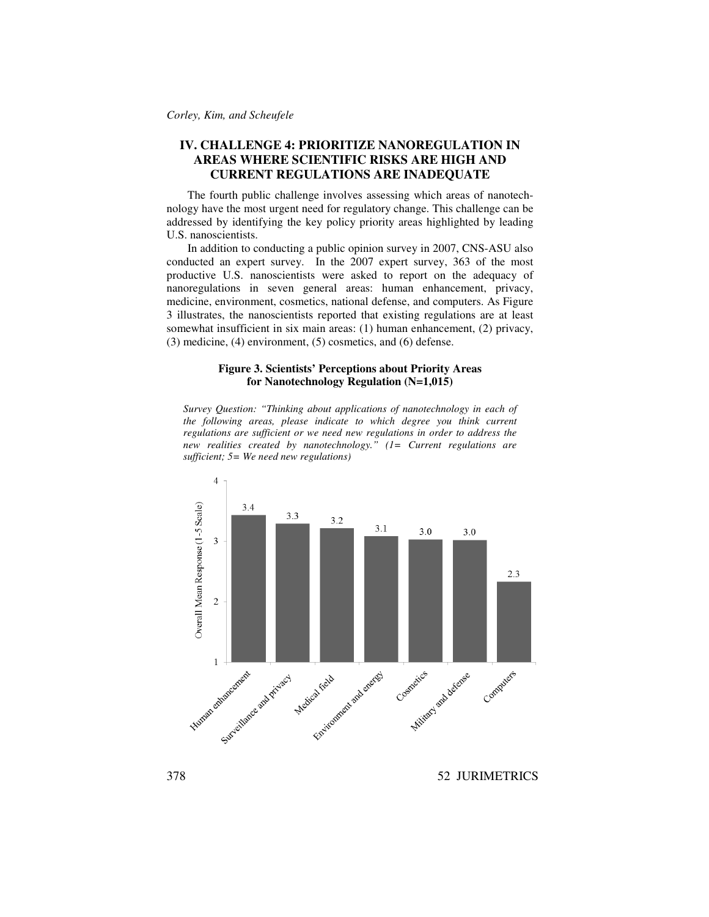# **IV. CHALLENGE 4: PRIORITIZE NANOREGULATION IN AREAS WHERE SCIENTIFIC RISKS ARE HIGH AND CURRENT REGULATIONS ARE INADEQUATE**

The fourth public challenge involves assessing which areas of nanotechnology have the most urgent need for regulatory change. This challenge can be addressed by identifying the key policy priority areas highlighted by leading U.S. nanoscientists.

In addition to conducting a public opinion survey in 2007, CNS-ASU also conducted an expert survey. In the 2007 expert survey, 363 of the most productive U.S. nanoscientists were asked to report on the adequacy of nanoregulations in seven general areas: human enhancement, privacy, medicine, environment, cosmetics, national defense, and computers. As Figure 3 illustrates, the nanoscientists reported that existing regulations are at least somewhat insufficient in six main areas: (1) human enhancement, (2) privacy, (3) medicine, (4) environment, (5) cosmetics, and (6) defense.

#### **Figure 3. Scientists' Perceptions about Priority Areas for Nanotechnology Regulation (N=1,015)**

*Survey Question: "Thinking about applications of nanotechnology in each of the following areas, please indicate to which degree you think current regulations are sufficient or we need new regulations in order to address the new realities created by nanotechnology." (1= Current regulations are sufficient; 5= We need new regulations)*



378 52 JURIMETRICS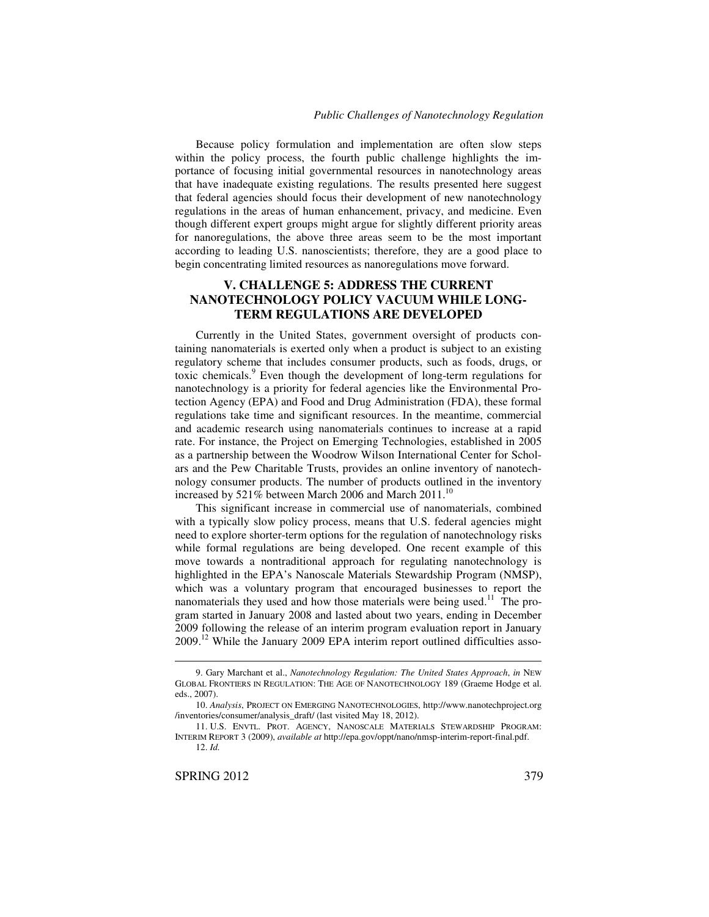Because policy formulation and implementation are often slow steps within the policy process, the fourth public challenge highlights the importance of focusing initial governmental resources in nanotechnology areas that have inadequate existing regulations. The results presented here suggest that federal agencies should focus their development of new nanotechnology regulations in the areas of human enhancement, privacy, and medicine. Even though different expert groups might argue for slightly different priority areas for nanoregulations, the above three areas seem to be the most important according to leading U.S. nanoscientists; therefore, they are a good place to begin concentrating limited resources as nanoregulations move forward.

# **V. CHALLENGE 5: ADDRESS THE CURRENT NANOTECHNOLOGY POLICY VACUUM WHILE LONG-TERM REGULATIONS ARE DEVELOPED**

Currently in the United States, government oversight of products containing nanomaterials is exerted only when a product is subject to an existing regulatory scheme that includes consumer products, such as foods, drugs, or toxic chemicals. <sup>9</sup> Even though the development of long-term regulations for nanotechnology is a priority for federal agencies like the Environmental Protection Agency (EPA) and Food and Drug Administration (FDA), these formal regulations take time and significant resources. In the meantime, commercial and academic research using nanomaterials continues to increase at a rapid rate. For instance, the Project on Emerging Technologies, established in 2005 as a partnership between the Woodrow Wilson International Center for Scholars and the Pew Charitable Trusts, provides an online inventory of nanotechnology consumer products. The number of products outlined in the inventory increased by 521% between March 2006 and March 2011.<sup>10</sup>

This significant increase in commercial use of nanomaterials, combined with a typically slow policy process, means that U.S. federal agencies might need to explore shorter-term options for the regulation of nanotechnology risks while formal regulations are being developed. One recent example of this move towards a nontraditional approach for regulating nanotechnology is highlighted in the EPA's Nanoscale Materials Stewardship Program (NMSP), which was a voluntary program that encouraged businesses to report the nanomaterials they used and how those materials were being used.<sup>11</sup> The program started in January 2008 and lasted about two years, ending in December 2009 following the release of an interim program evaluation report in January 2009.<sup>12</sup> While the January 2009 EPA interim report outlined difficulties asso-

<sup>9.</sup> Gary Marchant et al., *Nanotechnology Regulation: The United States Approach*, *in* NEW GLOBAL FRONTIERS IN REGULATION: THE AGE OF NANOTECHNOLOGY 189 (Graeme Hodge et al. eds., 2007).

<sup>10.</sup> *Analysis*, PROJECT ON EMERGING NANOTECHNOLOGIES, http://www.nanotechproject.org /inventories/consumer/analysis\_draft/ (last visited May 18, 2012).

<sup>11.</sup> U.S. ENVTL. PROT. AGENCY, NANOSCALE MATERIALS STEWARDSHIP PROGRAM: INTERIM REPORT 3 (2009), *available at* http://epa.gov/oppt/nano/nmsp-interim-report-final.pdf. 12. *Id.*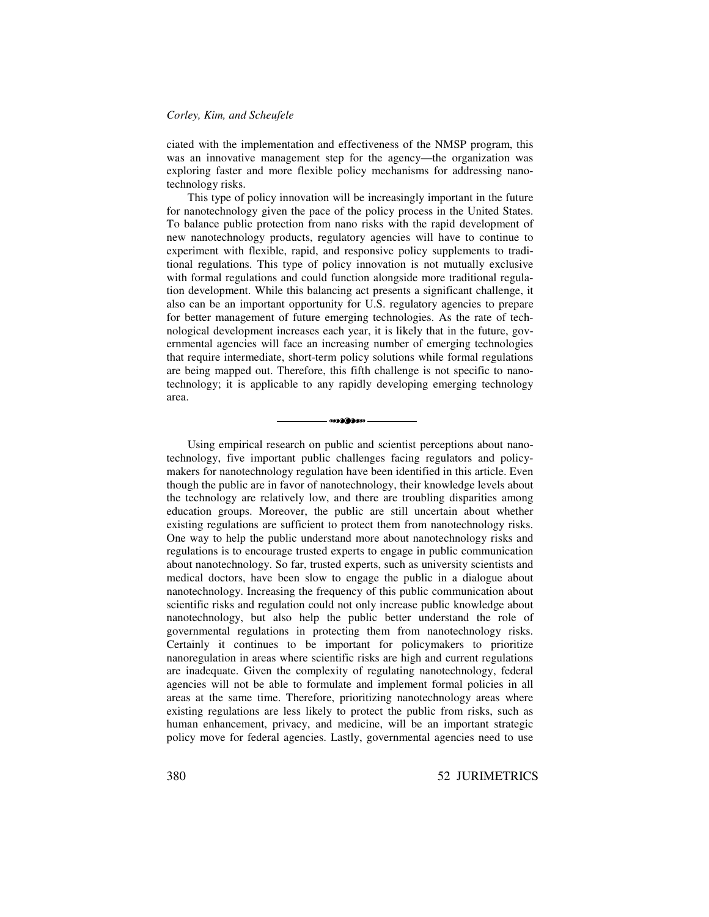#### *Corley, Kim, and Scheufele*

ciated with the implementation and effectiveness of the NMSP program, this was an innovative management step for the agency—the organization was exploring faster and more flexible policy mechanisms for addressing nanotechnology risks.

This type of policy innovation will be increasingly important in the future for nanotechnology given the pace of the policy process in the United States. To balance public protection from nano risks with the rapid development of new nanotechnology products, regulatory agencies will have to continue to experiment with flexible, rapid, and responsive policy supplements to traditional regulations. This type of policy innovation is not mutually exclusive with formal regulations and could function alongside more traditional regulation development. While this balancing act presents a significant challenge, it also can be an important opportunity for U.S. regulatory agencies to prepare for better management of future emerging technologies. As the rate of technological development increases each year, it is likely that in the future, governmental agencies will face an increasing number of emerging technologies that require intermediate, short-term policy solutions while formal regulations are being mapped out. Therefore, this fifth challenge is not specific to nanotechnology; it is applicable to any rapidly developing emerging technology area.

Using empirical research on public and scientist perceptions about nanotechnology, five important public challenges facing regulators and policymakers for nanotechnology regulation have been identified in this article. Even though the public are in favor of nanotechnology, their knowledge levels about the technology are relatively low, and there are troubling disparities among education groups. Moreover, the public are still uncertain about whether existing regulations are sufficient to protect them from nanotechnology risks. One way to help the public understand more about nanotechnology risks and regulations is to encourage trusted experts to engage in public communication about nanotechnology. So far, trusted experts, such as university scientists and medical doctors, have been slow to engage the public in a dialogue about nanotechnology. Increasing the frequency of this public communication about scientific risks and regulation could not only increase public knowledge about nanotechnology, but also help the public better understand the role of governmental regulations in protecting them from nanotechnology risks. Certainly it continues to be important for policymakers to prioritize nanoregulation in areas where scientific risks are high and current regulations are inadequate. Given the complexity of regulating nanotechnology, federal agencies will not be able to formulate and implement formal policies in all areas at the same time. Therefore, prioritizing nanotechnology areas where existing regulations are less likely to protect the public from risks, such as human enhancement, privacy, and medicine, will be an important strategic policy move for federal agencies. Lastly, governmental agencies need to use